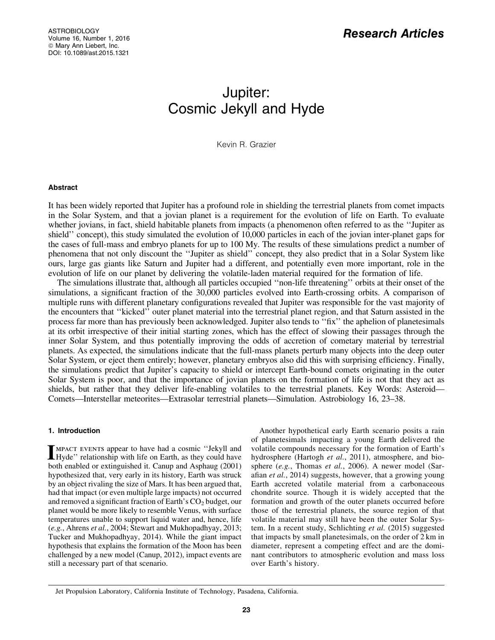# Jupiter: Cosmic Jekyll and Hyde

Kevin R. Grazier

## Abstract

It has been widely reported that Jupiter has a profound role in shielding the terrestrial planets from comet impacts in the Solar System, and that a jovian planet is a requirement for the evolution of life on Earth. To evaluate whether jovians, in fact, shield habitable planets from impacts (a phenomenon often referred to as the "Jupiter as shield'' concept), this study simulated the evolution of 10,000 particles in each of the jovian inter-planet gaps for the cases of full-mass and embryo planets for up to 100 My. The results of these simulations predict a number of phenomena that not only discount the ''Jupiter as shield'' concept, they also predict that in a Solar System like ours, large gas giants like Saturn and Jupiter had a different, and potentially even more important, role in the evolution of life on our planet by delivering the volatile-laden material required for the formation of life.

The simulations illustrate that, although all particles occupied ''non-life threatening'' orbits at their onset of the simulations, a significant fraction of the 30,000 particles evolved into Earth-crossing orbits. A comparison of multiple runs with different planetary configurations revealed that Jupiter was responsible for the vast majority of the encounters that ''kicked'' outer planet material into the terrestrial planet region, and that Saturn assisted in the process far more than has previously been acknowledged. Jupiter also tends to ''fix'' the aphelion of planetesimals at its orbit irrespective of their initial starting zones, which has the effect of slowing their passages through the inner Solar System, and thus potentially improving the odds of accretion of cometary material by terrestrial planets. As expected, the simulations indicate that the full-mass planets perturb many objects into the deep outer Solar System, or eject them entirely; however, planetary embryos also did this with surprising efficiency. Finally, the simulations predict that Jupiter's capacity to shield or intercept Earth-bound comets originating in the outer Solar System is poor, and that the importance of jovian planets on the formation of life is not that they act as shields, but rather that they deliver life-enabling volatiles to the terrestrial planets. Key Words: Asteroid— Comets—Interstellar meteorites—Extrasolar terrestrial planets—Simulation. Astrobiology 16, 23–38.

# 1. Introduction

Impact events appear to have had a cosmic ''Jekyll and Hyde'' relationship with life on Earth, as they could have both enabled or extinguished it. Canup and Asphaug (2001) hypothesized that, very early in its history, Earth was struck by an object rivaling the size of Mars. It has been argued that, had that impact (or even multiple large impacts) not occurred and removed a significant fraction of Earth's  $CO<sub>2</sub>$  budget, our planet would be more likely to resemble Venus, with surface temperatures unable to support liquid water and, hence, life (*e.g.*, Ahrens *et al.*, 2004; Stewart and Mukhopadhyay, 2013; Tucker and Mukhopadhyay, 2014). While the giant impact hypothesis that explains the formation of the Moon has been challenged by a new model (Canup, 2012), impact events are still a necessary part of that scenario.

Another hypothetical early Earth scenario posits a rain of planetesimals impacting a young Earth delivered the volatile compounds necessary for the formation of Earth's hydrosphere (Hartogh *et al.*, 2011), atmosphere, and biosphere (*e.g.*, Thomas *et al.*, 2006). A newer model (Sarafian *et al.*, 2014) suggests, however, that a growing young Earth accreted volatile material from a carbonaceous chondrite source. Though it is widely accepted that the formation and growth of the outer planets occurred before those of the terrestrial planets, the source region of that volatile material may still have been the outer Solar System. In a recent study, Schlichting *et al.* (2015) suggested that impacts by small planetesimals, on the order of 2 km in diameter, represent a competing effect and are the dominant contributors to atmospheric evolution and mass loss over Earth's history.

Jet Propulsion Laboratory, California Institute of Technology, Pasadena, California.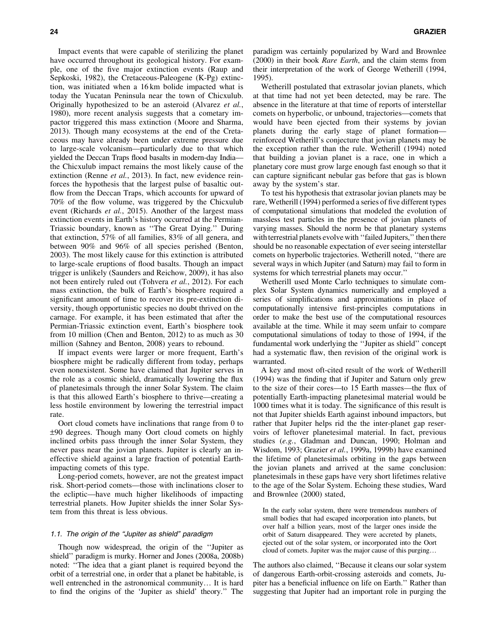Impact events that were capable of sterilizing the planet have occurred throughout its geological history. For example, one of the five major extinction events (Raup and Sepkoski, 1982), the Cretaceous-Paleogene (K-Pg) extinction, was initiated when a 16 km bolide impacted what is today the Yucatan Peninsula near the town of Chicxulub. Originally hypothesized to be an asteroid (Alvarez *et al.*, 1980), more recent analysis suggests that a cometary impactor triggered this mass extinction (Moore and Sharma, 2013). Though many ecosystems at the end of the Cretaceous may have already been under extreme pressure due to large-scale volcanism—particularly due to that which yielded the Deccan Traps flood basalts in modern-day India the Chicxulub impact remains the most likely cause of the extinction (Renne *et al.*, 2013). In fact, new evidence reinforces the hypothesis that the largest pulse of basaltic outflow from the Deccan Traps, which accounts for upward of 70% of the flow volume, was triggered by the Chicxulub event (Richards *et al.*, 2015). Another of the largest mass extinction events in Earth's history occurred at the Permian-Triassic boundary, known as ''The Great Dying.'' During that extinction, 57% of all families, 83% of all genera, and between 90% and 96% of all species perished (Benton, 2003). The most likely cause for this extinction is attributed to large-scale eruptions of flood basalts. Though an impact trigger is unlikely (Saunders and Reichow, 2009), it has also not been entirely ruled out (Tohvera *et al.*, 2012). For each mass extinction, the bulk of Earth's biosphere required a significant amount of time to recover its pre-extinction diversity, though opportunistic species no doubt thrived on the carnage. For example, it has been estimated that after the Permian-Triassic extinction event, Earth's biosphere took from 10 million (Chen and Benton, 2012) to as much as 30 million (Sahney and Benton, 2008) years to rebound.

If impact events were larger or more frequent, Earth's biosphere might be radically different from today, perhaps even nonexistent. Some have claimed that Jupiter serves in the role as a cosmic shield, dramatically lowering the flux of planetesimals through the inner Solar System. The claim is that this allowed Earth's biosphere to thrive—creating a less hostile environment by lowering the terrestrial impact rate.

Oort cloud comets have inclinations that range from 0 to  $\pm 90$  degrees. Though many Oort cloud comets on highly inclined orbits pass through the inner Solar System, they never pass near the jovian planets. Jupiter is clearly an ineffective shield against a large fraction of potential Earthimpacting comets of this type.

Long-period comets, however, are not the greatest impact risk. Short-period comets—those with inclinations closer to the ecliptic—have much higher likelihoods of impacting terrestrial planets. How Jupiter shields the inner Solar System from this threat is less obvious.

## 1.1. The origin of the ''Jupiter as shield'' paradigm

Though now widespread, the origin of the ''Jupiter as shield'' paradigm is murky. Horner and Jones (2008a, 2008b) noted: ''The idea that a giant planet is required beyond the orbit of a terrestrial one, in order that a planet be habitable, is well entrenched in the astronomical community... It is hard to find the origins of the 'Jupiter as shield' theory.'' The paradigm was certainly popularized by Ward and Brownlee (2000) in their book *Rare Earth*, and the claim stems from their interpretation of the work of George Wetherill (1994, 1995).

Wetherill postulated that extrasolar jovian planets, which at that time had not yet been detected, may be rare. The absence in the literature at that time of reports of interstellar comets on hyperbolic, or unbound, trajectories—comets that would have been ejected from their systems by jovian planets during the early stage of planet formation reinforced Wetherill's conjecture that jovian planets may be the exception rather than the rule. Wetherill (1994) noted that building a jovian planet is a race, one in which a planetary core must grow large enough fast enough so that it can capture significant nebular gas before that gas is blown away by the system's star.

To test his hypothesis that extrasolar jovian planets may be rare, Wetherill (1994) performed a series of five different types of computational simulations that modeled the evolution of massless test particles in the presence of jovian planets of varying masses. Should the norm be that planetary systems with terrestrial planets evolve with "failed Jupiters," then there should be no reasonable expectation of ever seeing interstellar comets on hyperbolic trajectories. Wetherill noted, ''there are several ways in which Jupiter (and Saturn) may fail to form in systems for which terrestrial planets may occur.''

Wetherill used Monte Carlo techniques to simulate complex Solar System dynamics numerically and employed a series of simplifications and approximations in place of computationally intensive first-principles computations in order to make the best use of the computational resources available at the time. While it may seem unfair to compare computational simulations of today to those of 1994, if the fundamental work underlying the ''Jupiter as shield'' concept had a systematic flaw, then revision of the original work is warranted.

A key and most oft-cited result of the work of Wetherill (1994) was the finding that if Jupiter and Saturn only grew to the size of their cores—to 15 Earth masses—the flux of potentially Earth-impacting planetesimal material would be 1000 times what it is today. The significance of this result is not that Jupiter shields Earth against inbound impactors, but rather that Jupiter helps rid the the inter-planet gap reservoirs of leftover planetesimal material. In fact, previous studies (*e.g.*, Gladman and Duncan, 1990; Holman and Wisdom, 1993; Grazier *et al.*, 1999a, 1999b) have examined the lifetime of planetesimals orbiting in the gaps between the jovian planets and arrived at the same conclusion: planetesimals in these gaps have very short lifetimes relative to the age of the Solar System. Echoing these studies, Ward and Brownlee (2000) stated,

In the early solar system, there were tremendous numbers of small bodies that had escaped incorporation into planets, but over half a billion years, most of the larger ones inside the orbit of Saturn disappeared. They were accreted by planets, ejected out of the solar system, or incorporated into the Oort cloud of comets. Jupiter was the major cause of this purging.

The authors also claimed, ''Because it cleans our solar system of dangerous Earth-orbit-crossing asteroids and comets, Jupiter has a beneficial influence on life on Earth.'' Rather than suggesting that Jupiter had an important role in purging the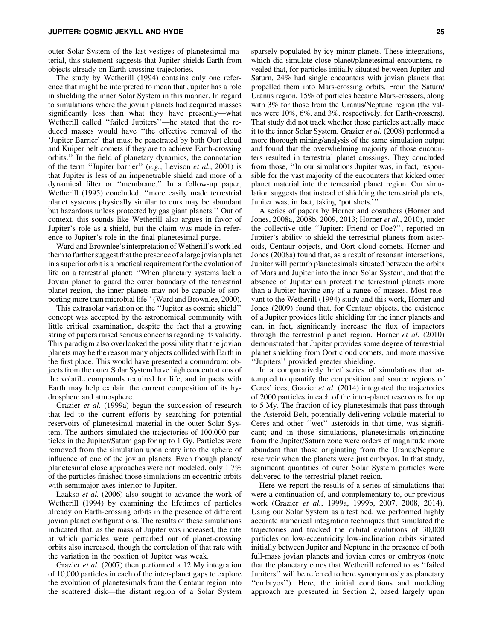outer Solar System of the last vestiges of planetesimal material, this statement suggests that Jupiter shields Earth from objects already on Earth-crossing trajectories.

The study by Wetherill (1994) contains only one reference that might be interpreted to mean that Jupiter has a role in shielding the inner Solar System in this manner. In regard to simulations where the jovian planets had acquired masses significantly less than what they have presently—what Wetherill called ''failed Jupiters''—he stated that the reduced masses would have ''the effective removal of the 'Jupiter Barrier' that must be penetrated by both Oort cloud and Kuiper belt comets if they are to achieve Earth-crossing orbits.'' In the field of planetary dynamics, the connotation of the term ''Jupiter barrier'' (*e.g.*, Levison *et al.*, 2001) is that Jupiter is less of an impenetrable shield and more of a dynamical filter or ''membrane.'' In a follow-up paper, Wetherill (1995) concluded, ''more easily made terrestrial planet systems physically similar to ours may be abundant but hazardous unless protected by gas giant planets.'' Out of context, this sounds like Wetherill also argues in favor of Jupiter's role as a shield, but the claim was made in reference to Jupiter's role in the final planetesimal purge.

Ward and Brownlee's interpretation of Wetherill's work led them to further suggest that the presence of a large jovian planet in a superior orbit is a practical requirement for the evolution of life on a terrestrial planet: ''When planetary systems lack a Jovian planet to guard the outer boundary of the terrestrial planet region, the inner planets may not be capable of supporting more than microbial life'' (Ward and Brownlee, 2000).

This extrasolar variation on the ''Jupiter as cosmic shield'' concept was accepted by the astronomical community with little critical examination, despite the fact that a growing string of papers raised serious concerns regarding its validity. This paradigm also overlooked the possibility that the jovian planets may be the reason many objects collided with Earth in the first place. This would have presented a conundrum: objects from the outer Solar System have high concentrations of the volatile compounds required for life, and impacts with Earth may help explain the current composition of its hydrosphere and atmosphere.

Grazier *et al.* (1999a) began the succession of research that led to the current efforts by searching for potential reservoirs of planetesimal material in the outer Solar System. The authors simulated the trajectories of 100,000 particles in the Jupiter/Saturn gap for up to 1 Gy. Particles were removed from the simulation upon entry into the sphere of influence of one of the jovian planets. Even though planet/ planetesimal close approaches were not modeled, only 1.7% of the particles finished those simulations on eccentric orbits with semimajor axes interior to Jupiter.

Laakso *et al.* (2006) also sought to advance the work of Wetherill (1994) by examining the lifetimes of particles already on Earth-crossing orbits in the presence of different jovian planet configurations. The results of these simulations indicated that, as the mass of Jupiter was increased, the rate at which particles were perturbed out of planet-crossing orbits also increased, though the correlation of that rate with the variation in the position of Jupiter was weak.

Grazier *et al.* (2007) then performed a 12 My integration of 10,000 particles in each of the inter-planet gaps to explore the evolution of planetesimals from the Centaur region into the scattered disk—the distant region of a Solar System sparsely populated by icy minor planets. These integrations, which did simulate close planet/planetesimal encounters, revealed that, for particles initially situated between Jupiter and Saturn, 24% had single encounters with jovian planets that propelled them into Mars-crossing orbits. From the Saturn/ Uranus region, 15% of particles became Mars-crossers, along with 3% for those from the Uranus/Neptune region (the values were 10%, 6%, and 3%, respectively, for Earth-crossers). That study did not track whether those particles actually made it to the inner Solar System. Grazier *et al.* (2008) performed a more thorough mining/analysis of the same simulation output and found that the overwhelming majority of those encounters resulted in terrestrial planet crossings. They concluded from those, ''In our simulations Jupiter was, in fact, responsible for the vast majority of the encounters that kicked outer planet material into the terrestrial planet region. Our simulation suggests that instead of shielding the terrestrial planets, Jupiter was, in fact, taking 'pot shots.'''

A series of papers by Horner and coauthors (Horner and Jones, 2008a, 2008b, 2009, 2013; Horner *et al.*, 2010), under the collective title ''Jupiter: Friend or Foe?'', reported on Jupiter's ability to shield the terrestrial planets from asteroids, Centaur objects, and Oort cloud comets. Horner and Jones (2008a) found that, as a result of resonant interactions, Jupiter will perturb planetesimals situated between the orbits of Mars and Jupiter into the inner Solar System, and that the absence of Jupiter can protect the terrestrial planets more than a Jupiter having any of a range of masses. Most relevant to the Wetherill (1994) study and this work, Horner and Jones (2009) found that, for Centaur objects, the existence of a Jupiter provides little shielding for the inner planets and can, in fact, significantly increase the flux of impactors through the terrestrial planet region. Horner *et al.* (2010) demonstrated that Jupiter provides some degree of terrestrial planet shielding from Oort cloud comets, and more massive ''Jupiters'' provided greater shielding.

In a comparatively brief series of simulations that attempted to quantify the composition and source regions of Ceres' ices, Grazier *et al.* (2014) integrated the trajectories of 2000 particles in each of the inter-planet reservoirs for up to 5 My. The fraction of icy planetesimals that pass through the Asteroid Belt, potentially delivering volatile material to Ceres and other ''wet'' asteroids in that time, was significant; and in those simulations, planetesimals originating from the Jupiter/Saturn zone were orders of magnitude more abundant than those originating from the Uranus/Neptune reservoir when the planets were just embryos. In that study, significant quantities of outer Solar System particles were delivered to the terrestrial planet region.

Here we report the results of a series of simulations that were a continuation of, and complementary to, our previous work (Grazier *et al.*, 1999a, 1999b, 2007, 2008, 2014). Using our Solar System as a test bed, we performed highly accurate numerical integration techniques that simulated the trajectories and tracked the orbital evolutions of 30,000 particles on low-eccentricity low-inclination orbits situated initially between Jupiter and Neptune in the presence of both full-mass jovian planets and jovian cores or embryos (note that the planetary cores that Wetherill referred to as ''failed Jupiters'' will be referred to here synonymously as planetary "embryos"). Here, the initial conditions and modeling approach are presented in Section 2, based largely upon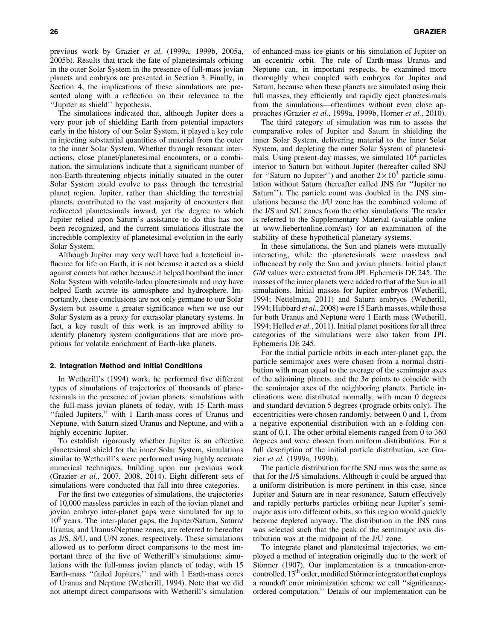previous work by Grazier *et al.* (1999a, 1999b, 2005a, 2005b). Results that track the fate of planetesimals orbiting in the outer Solar System in the presence of full-mass jovian planets and embryos are presented in Section 3. Finally, in Section 4, the implications of these simulations are presented along with a reflection on their relevance to the ''Jupiter as shield'' hypothesis.

The simulations indicated that, although Jupiter does a very poor job of shielding Earth from potential impactors early in the history of our Solar System, it played a key role in injecting substantial quantities of material from the outer to the inner Solar System. Whether through resonant interactions, close planet/planetesimal encounters, or a combination, the simulations indicate that a significant number of non-Earth-threatening objects initially situated in the outer Solar System could evolve to pass through the terrestrial planet region. Jupiter, rather than shielding the terrestrial planets, contributed to the vast majority of encounters that redirected planetesimals inward, yet the degree to which Jupiter relied upon Saturn's assistance to do this has not been recognized, and the current simulations illustrate the incredible complexity of planetesimal evolution in the early Solar System.

Although Jupiter may very well have had a beneficial influence for life on Earth, it is not because it acted as a shield against comets but rather because it helped bombard the inner Solar System with volatile-laden planetesimals and may have helped Earth accrete its atmosphere and hydrosphere. Importantly, these conclusions are not only germane to our Solar System but assume a greater significance when we use our Solar System as a proxy for extrasolar planetary systems. In fact, a key result of this work is an improved ability to identify planetary system configurations that are more propitious for volatile enrichment of Earth-like planets.

### 2. Integration Method and Initial Conditions

In Wetherill's (1994) work, he performed five different types of simulations of trajectories of thousands of planetesimals in the presence of jovian planets: simulations with the full-mass jovian planets of today, with 15 Earth-mass ''failed Jupiters,'' with 1 Earth-mass cores of Uranus and Neptune, with Saturn-sized Uranus and Neptune, and with a highly eccentric Jupiter.

To establish rigorously whether Jupiter is an effective planetesimal shield for the inner Solar System, simulations similar to Wetherill's were performed using highly accurate numerical techniques, building upon our previous work (Grazier *et al.*, 2007, 2008, 2014). Eight different sets of simulations were conducted that fall into three categories.

For the first two categories of simulations, the trajectories of 10,000 massless particles in each of the jovian planet and jovian embryo inter-planet gaps were simulated for up to 10<sup>8</sup> years. The inter-planet gaps, the Jupiter/Saturn, Saturn/ Uranus, and Uranus/Neptune zones, are referred to hereafter as J/S, S/U, and U/N zones, respectively. These simulations allowed us to perform direct comparisons to the most important three of the five of Wetherill's simulations: simulations with the full-mass jovian planets of today, with 15 Earth-mass ''failed Jupiters,'' and with 1 Earth-mass cores of Uranus and Neptune (Wetherill, 1994). Note that we did not attempt direct comparisons with Wetherill's simulation of enhanced-mass ice giants or his simulation of Jupiter on an eccentric orbit. The role of Earth-mass Uranus and Neptune can, in important respects, be examined more thoroughly when coupled with embryos for Jupiter and Saturn, because when these planets are simulated using their full masses, they efficiently and rapidly eject planetesimals from the simulations—oftentimes without even close approaches (Grazier *et al.*, 1999a, 1999b, Horner *et al.*, 2010).

The third category of simulation was run to assess the comparative roles of Jupiter and Saturn in shielding the inner Solar System, delivering material to the inner Solar System, and depleting the outer Solar System of planetesimals. Using present-day masses, we simulated  $10<sup>4</sup>$  particles interior to Saturn but without Jupiter (hereafter called SNJ for "Saturn no Jupiter") and another  $2 \times 10^4$  particle simulation without Saturn (hereafter called JNS for ''Jupiter no Saturn''). The particle count was doubled in the JNS simulations because the J/U zone has the combined volume of the J/S and S/U zones from the other simulations. The reader is referred to the Supplementary Material (available online at www.liebertonline.com/ast) for an examination of the stability of these hypothetical planetary systems.

In these simulations, the Sun and planets were mutually interacting, while the planetesimals were massless and influenced by only the Sun and jovian planets. Initial planet *GM* values were extracted from JPL Ephemeris DE 245. The masses of the inner planets were added to that of the Sun in all simulations. Initial masses for Jupiter embryos (Wetherill, 1994; Nettelman, 2011) and Saturn embryos (Wetherill, 1994; Hubbard *et al.*, 2008) were 15 Earth masses, while those for both Uranus and Neptune were 1 Earth mass (Wetherill, 1994; Helled *et al.*, 2011). Initial planet positions for all three categories of the simulations were also taken from JPL Ephemeris DE 245.

For the initial particle orbits in each inter-planet gap, the particle semimajor axes were chosen from a normal distribution with mean equal to the average of the semimajor axes of the adjoining planets, and the  $3\sigma$  points to coincide with the semimajor axes of the neighboring planets. Particle inclinations were distributed normally, with mean 0 degrees and standard deviation 5 degrees (prograde orbits only). The eccentricities were chosen randomly, between 0 and 1, from a negative exponential distribution with an e-folding constant of 0.1. The other orbital elements ranged from 0 to 360 degrees and were chosen from uniform distributions. For a full description of the initial particle distribution, see Grazier *et al.* (1999a, 1999b).

The particle distribution for the SNJ runs was the same as that for the J/S simulations. Although it could be argued that a uniform distribution is more pertinent in this case, since Jupiter and Saturn are in near resonance, Saturn effectively and rapidly perturbs particles orbiting near Jupiter's semimajor axis into different orbits, so this region would quickly become depleted anyway. The distribution in the JNS runs was selected such that the peak of the semimajor axis distribution was at the midpoint of the J/U zone.

To integrate planet and planetesimal trajectories, we employed a method of integration originally due to the work of Störmer (1907). Our implementation is a truncation-errorcontrolled, 13<sup>th</sup> order, modified Störmer integrator that employs a roundoff error minimization scheme we call ''significanceordered computation.'' Details of our implementation can be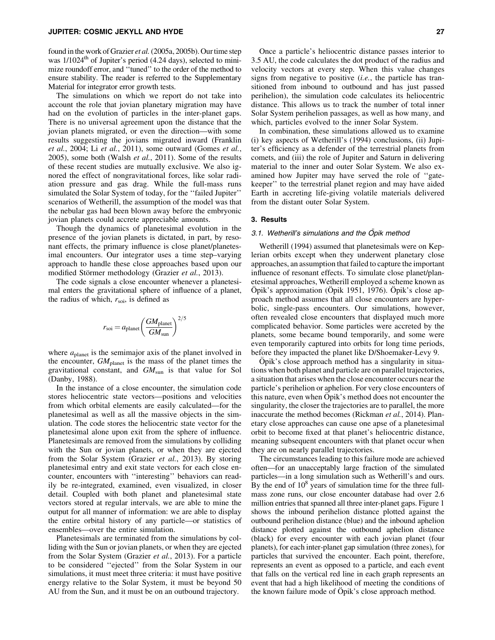found in the work of Grazier *et al.*(2005a, 2005b). Our time step was  $1/1024<sup>th</sup>$  of Jupiter's period (4.24 days), selected to minimize roundoff error, and ''tuned'' to the order of the method to ensure stability. The reader is referred to the Supplementary Material for integrator error growth tests.

The simulations on which we report do not take into account the role that jovian planetary migration may have had on the evolution of particles in the inter-planet gaps. There is no universal agreement upon the distance that the jovian planets migrated, or even the direction—with some results suggesting the jovians migrated inward (Franklin *et al.*, 2004; Li *et al.*, 2011), some outward (Gomes *et al.*, 2005), some both (Walsh *et al.*, 2011). Some of the results of these recent studies are mutually exclusive. We also ignored the effect of nongravitational forces, like solar radiation pressure and gas drag. While the full-mass runs simulated the Solar System of today, for the ''failed Jupiter'' scenarios of Wetherill, the assumption of the model was that the nebular gas had been blown away before the embryonic jovian planets could accrete appreciable amounts.

Though the dynamics of planetesimal evolution in the presence of the jovian planets is dictated, in part, by resonant effects, the primary influence is close planet/planetesimal encounters. Our integrator uses a time step–varying approach to handle these close approaches based upon our modified Störmer methodology (Grazier et al., 2013).

The code signals a close encounter whenever a planetesimal enters the gravitational sphere of influence of a planet, the radius of which,  $r_{\text{soi}}$ , is defined as

$$
r_{\rm soi} = a_{\rm planet} \left(\frac{GM_{\rm planet}}{GM_{\rm sun}}\right)^{2/5}
$$

where  $a<sub>planet</sub>$  is the semimajor axis of the planet involved in the encounter, *GM*<sub>planet</sub> is the mass of the planet times the gravitational constant, and *GM*<sub>sun</sub> is that value for Sol (Danby, 1988).

In the instance of a close encounter, the simulation code stores heliocentric state vectors—positions and velocities from which orbital elements are easily calculated—for the planetesimal as well as all the massive objects in the simulation. The code stores the heliocentric state vector for the planetesimal alone upon exit from the sphere of influence. Planetesimals are removed from the simulations by colliding with the Sun or jovian planets, or when they are ejected from the Solar System (Grazier *et al.*, 2013). By storing planetesimal entry and exit state vectors for each close encounter, encounters with ''interesting'' behaviors can readily be re-integrated, examined, even visualized, in closer detail. Coupled with both planet and planetesimal state vectors stored at regular intervals, we are able to mine the output for all manner of information: we are able to display the entire orbital history of any particle—or statistics of ensembles—over the entire simulation.

Planetesimals are terminated from the simulations by colliding with the Sun or jovian planets, or when they are ejected from the Solar System (Grazier *et al.*, 2013). For a particle to be considered ''ejected'' from the Solar System in our simulations, it must meet three criteria: it must have positive energy relative to the Solar System, it must be beyond 50 AU from the Sun, and it must be on an outbound trajectory.

Once a particle's heliocentric distance passes interior to 3.5 AU, the code calculates the dot product of the radius and velocity vectors at every step. When this value changes signs from negative to positive (*i.e.*, the particle has transitioned from inbound to outbound and has just passed perihelion), the simulation code calculates its heliocentric distance. This allows us to track the number of total inner Solar System perihelion passages, as well as how many, and which, particles evolved to the inner Solar System.

In combination, these simulations allowed us to examine (i) key aspects of Wetherill's (1994) conclusions, (ii) Jupiter's efficiency as a defender of the terrestrial planets from comets, and (iii) the role of Jupiter and Saturn in delivering material to the inner and outer Solar System. We also examined how Jupiter may have served the role of ''gatekeeper'' to the terrestrial planet region and may have aided Earth in accreting life-giving volatile materials delivered from the distant outer Solar System.

#### 3. Results

## 3.1. Wetherill's simulations and the Opik method

Wetherill (1994) assumed that planetesimals were on Keplerian orbits except when they underwent planetary close approaches, an assumption that failed to capture the important influence of resonant effects. To simulate close planet/planetesimal approaches, Wetherill employed a scheme known as Öpik's approximation (Öpik 1951, 1976). Öpik's close approach method assumes that all close encounters are hyperbolic, single-pass encounters. Our simulations, however, often revealed close encounters that displayed much more complicated behavior. Some particles were accreted by the planets, some became bound temporarily, and some were even temporarily captured into orbits for long time periods, before they impacted the planet like D/Shoemaker-Levy 9.

Opik's close approach method has a singularity in situations when both planet and particle are on parallel trajectories, a situation that arises when the close encounter occurs near the particle's perihelion or aphelion. For very close encounters of this nature, even when  $\ddot{O}$  pik's method does not encounter the singularity, the closer the trajectories are to parallel, the more inaccurate the method becomes (Rickman *et al.*, 2014). Planetary close approaches can cause one apse of a planetesimal orbit to become fixed at that planet's heliocentric distance, meaning subsequent encounters with that planet occur when they are on nearly parallel trajectories.

The circumstances leading to this failure mode are achieved often—for an unacceptably large fraction of the simulated particles—in a long simulation such as Wetherill's and ours. By the end of  $10<sup>8</sup>$  years of simulation time for the three fullmass zone runs, our close encounter database had over 2.6 million entries that spanned all three inter-planet gaps. Figure 1 shows the inbound perihelion distance plotted against the outbound perihelion distance (blue) and the inbound aphelion distance plotted against the outbound aphelion distance (black) for every encounter with each jovian planet (four planets), for each inter-planet gap simulation (three zones), for particles that survived the encounter. Each point, therefore, represents an event as opposed to a particle, and each event that falls on the vertical red line in each graph represents an event that had a high likelihood of meeting the conditions of the known failure mode of Öpik's close approach method.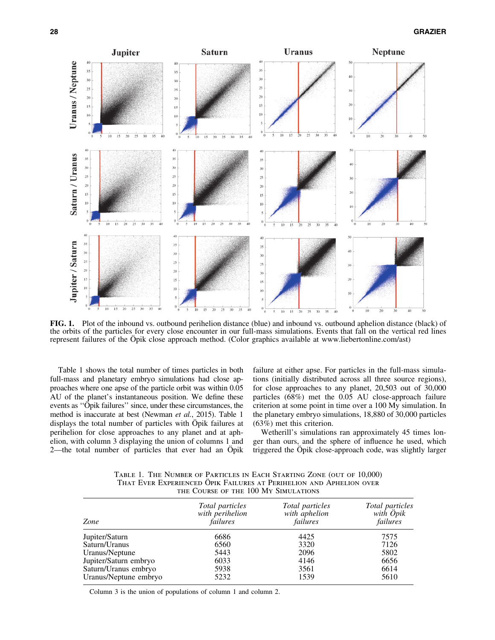

FIG. 1. Plot of the inbound vs. outbound perihelion distance (blue) and inbound vs. outbound aphelion distance (black) of the orbits of the particles for every close encounter in our full-mass simulations. Events that fall on the vertical red lines represent failures of the Öpik close approach method. (Color graphics available at www.liebertonline.com/ast)

Table 1 shows the total number of times particles in both full-mass and planetary embryo simulations had close approaches where one apse of the particle orbit was within 0.05 AU of the planet's instantaneous position. We define these events as "Öpik failures" since, under these circumstances, the method is inaccurate at best (Newman *et al.*, 2015). Table 1 displays the total number of particles with Opik failures at perihelion for close approaches to any planet and at aphelion, with column 3 displaying the union of columns 1 and 2—the total number of particles that ever had an  $\ddot{O}$  pik failure at either apse. For particles in the full-mass simulations (initially distributed across all three source regions), for close approaches to any planet, 20,503 out of 30,000 particles (68%) met the 0.05 AU close-approach failure criterion at some point in time over a 100 My simulation. In the planetary embryo simulations, 18,880 of 30,000 particles (63%) met this criterion.

Wetherill's simulations ran approximately 45 times longer than ours, and the sphere of influence he used, which triggered the Opik close-approach code, was slightly larger

Table 1. The Number of Particles in Each Starting Zone (out of 10,000) THAT EVER EXPERIENCED ÖPIK FAILURES AT PERIHELION AND APHELION OVER the Course of the 100 My Simulations

| Zone                  | Total particles<br>with perihelion<br>failures | Total particles<br>with aphelion<br>failures | Total particles<br>with Opik<br>failures |
|-----------------------|------------------------------------------------|----------------------------------------------|------------------------------------------|
| Jupiter/Saturn        | 6686                                           | 4425                                         | 7575                                     |
| Saturn/Uranus         | 6560                                           | 3320                                         | 7126                                     |
| Uranus/Neptune        | 5443                                           | 2096                                         | 5802                                     |
| Jupiter/Saturn embryo | 6033                                           | 4146                                         | 6656                                     |
| Saturn/Uranus embryo  | 5938                                           | 3561                                         | 6614                                     |
| Uranus/Neptune embryo | 5232                                           | 1539                                         | 5610                                     |

Column 3 is the union of populations of column 1 and column 2.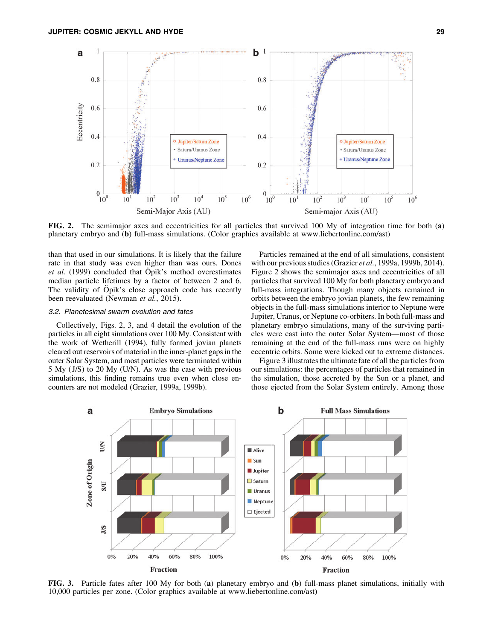

FIG. 2. The semimajor axes and eccentricities for all particles that survived 100 My of integration time for both (a) planetary embryo and (b) full-mass simulations. (Color graphics available at www.liebertonline.com/ast)

than that used in our simulations. It is likely that the failure rate in that study was even higher than was ours. Dones *et al.* (1999) concluded that Opik's method overestimates median particle lifetimes by a factor of between 2 and 6. The validity of Opik's close approach code has recently been reevaluated (Newman *et al.*, 2015).

## 3.2. Planetesimal swarm evolution and fates

Collectively, Figs. 2, 3, and 4 detail the evolution of the particles in all eight simulations over 100 My. Consistent with the work of Wetherill (1994), fully formed jovian planets cleared out reservoirs of material in the inner-planet gaps in the outer Solar System, and most particles were terminated within 5 My (J/S) to 20 My (U/N). As was the case with previous simulations, this finding remains true even when close encounters are not modeled (Grazier, 1999a, 1999b).

Particles remained at the end of all simulations, consistent with our previous studies (Grazier *et al.*, 1999a, 1999b, 2014). Figure 2 shows the semimajor axes and eccentricities of all particles that survived 100 My for both planetary embryo and full-mass integrations. Though many objects remained in orbits between the embryo jovian planets, the few remaining objects in the full-mass simulations interior to Neptune were Jupiter, Uranus, or Neptune co-orbiters. In both full-mass and planetary embryo simulations, many of the surviving particles were cast into the outer Solar System—most of those remaining at the end of the full-mass runs were on highly eccentric orbits. Some were kicked out to extreme distances.

Figure 3 illustrates the ultimate fate of all the particles from our simulations: the percentages of particles that remained in the simulation, those accreted by the Sun or a planet, and those ejected from the Solar System entirely. Among those



FIG. 3. Particle fates after 100 My for both (a) planetary embryo and (b) full-mass planet simulations, initially with 10,000 particles per zone. (Color graphics available at www.liebertonline.com/ast)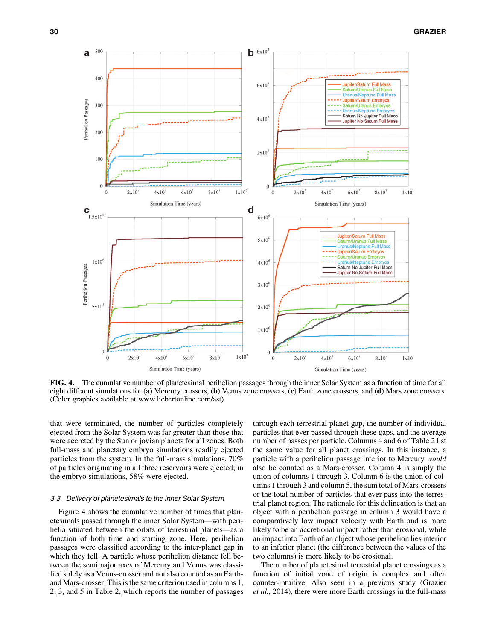

FIG. 4. The cumulative number of planetesimal perihelion passages through the inner Solar System as a function of time for all eight different simulations for (a) Mercury crossers, (b) Venus zone crossers, (c) Earth zone crossers, and (d) Mars zone crossers. (Color graphics available at www.liebertonline.com/ast)

that were terminated, the number of particles completely ejected from the Solar System was far greater than those that were accreted by the Sun or jovian planets for all zones. Both full-mass and planetary embryo simulations readily ejected particles from the system. In the full-mass simulations, 70% of particles originating in all three reservoirs were ejected; in the embryo simulations, 58% were ejected.

#### 3.3. Delivery of planetesimals to the inner Solar System

Figure 4 shows the cumulative number of times that planetesimals passed through the inner Solar System—with perihelia situated between the orbits of terrestrial planets—as a function of both time and starting zone. Here, perihelion passages were classified according to the inter-planet gap in which they fell. A particle whose perihelion distance fell between the semimajor axes of Mercury and Venus was classified solely as a Venus-crosser and not also counted as an Earthand Mars-crosser. This is the same criterion used in columns 1, 2, 3, and 5 in Table 2, which reports the number of passages through each terrestrial planet gap, the number of individual particles that ever passed through these gaps, and the average number of passes per particle. Columns 4 and 6 of Table 2 list the same value for all planet crossings. In this instance, a particle with a perihelion passage interior to Mercury *would* also be counted as a Mars-crosser. Column 4 is simply the union of columns 1 through 3. Column 6 is the union of columns 1 through 3 and column 5, the sum total of Mars-crossers or the total number of particles that ever pass into the terrestrial planet region. The rationale for this delineation is that an object with a perihelion passage in column 3 would have a comparatively low impact velocity with Earth and is more likely to be an accretional impact rather than erosional, while an impact into Earth of an object whose perihelion lies interior to an inferior planet (the difference between the values of the two columns) is more likely to be erosional.

The number of planetesimal terrestrial planet crossings as a function of initial zone of origin is complex and often counter-intuitive. Also seen in a previous study (Grazier *et al.*, 2014), there were more Earth crossings in the full-mass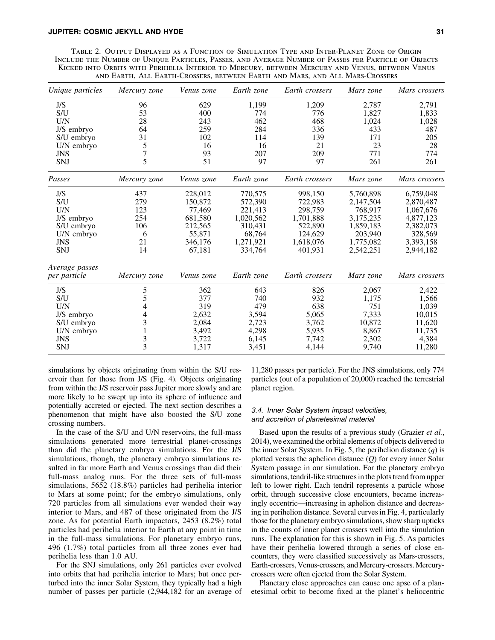| Unique particles | Mercury zone   | Venus zone | Earth zone | Earth crossers | Mars zone | Mars crossers |
|------------------|----------------|------------|------------|----------------|-----------|---------------|
| J/S              | 96             | 629        | 1,199      | 1,209          | 2,787     | 2,791         |
| S/U              | 53             | 400        | 774        | 776            | 1,827     | 1,833         |
| U/N              | 28             | 243        | 462        | 468            | 1,024     | 1,028         |
| J/S embryo       | 64             | 259        | 284        | 336            | 433       | 487           |
| S/U embryo       | 31             | 102        | 114        | 139            | 171       | 205           |
| U/N embryo       | 5              | 16         | 16         | 21             | 23        | 28            |
| <b>JNS</b>       | $\overline{7}$ | 93         | 207        | 209            | 771       | 774           |
| SNJ              | 5              | 51         | 97         | 97             | 261       | 261           |
| Passes           | Mercury zone   | Venus zone | Earth zone | Earth crossers | Mars zone | Mars crossers |
| J/S              | 437            | 228,012    | 770,575    | 998,150        | 5,760,898 | 6,759,048     |
| S/U              | 279            | 150,872    | 572,390    | 722,983        | 2,147,504 | 2,870,487     |
| U/N              | 123            | 77,469     | 221,413    | 298,759        | 768,917   | 1,067,676     |
| J/S embryo       | 254            | 681,580    | 1.020.562  | 1,701,888      | 3,175,235 | 4,877,123     |
| S/U embryo       | 106            | 212.565    | 310.431    | 522,890        | 1,859,183 | 2,382,073     |
| U/N embryo       | 6              | 55,871     | 68,764     | 124,629        | 203,940   | 328,569       |
| <b>JNS</b>       | 21             | 346,176    | 1,271,921  | 1,618,076      | 1,775,082 | 3,393,158     |
| <b>SNJ</b>       | 14             | 67,181     | 334,764    | 401,931        | 2,542,251 | 2,944,182     |
| Average passes   |                |            |            |                |           |               |
| per particle     | Mercury zone   | Venus zone | Earth zone | Earth crossers | Mars zone | Mars crossers |
| J/S              | 5              | 362        | 643        | 826            | 2,067     | 2,422         |
| S/U              | 5              | 377        | 740        | 932            | 1,175     | 1,566         |
| U/N              | $\overline{4}$ | 319        | 479        | 638            | 751       | 1,039         |
| J/S embryo       | 4              | 2,632      | 3,594      | 5,065          | 7,333     | 10,015        |
| S/U embryo       | 3              | 2,084      | 2,723      | 3,762          | 10,872    | 11,620        |
| U/N embryo       |                | 3,492      | 4,298      | 5,935          | 8,867     | 11,735        |
| <b>JNS</b>       | $\frac{3}{3}$  | 3,722      | 6,145      | 7,742          | 2,302     | 4,384         |
| SNJ              |                | 1,317      | 3,451      | 4,144          | 9,740     | 11,280        |

simulations by objects originating from within the S/U reservoir than for those from J/S (Fig. 4). Objects originating from within the J/S reservoir pass Jupiter more slowly and are more likely to be swept up into its sphere of influence and potentially accreted or ejected. The next section describes a phenomenon that might have also boosted the S/U zone crossing numbers.

In the case of the S/U and U/N reservoirs, the full-mass simulations generated more terrestrial planet-crossings than did the planetary embryo simulations. For the J/S simulations, though, the planetary embryo simulations resulted in far more Earth and Venus crossings than did their full-mass analog runs. For the three sets of full-mass simulations, 5652 (18.8%) particles had perihelia interior to Mars at some point; for the embryo simulations, only 720 particles from all simulations ever wended their way interior to Mars, and 487 of these originated from the J/S zone. As for potential Earth impactors, 2453 (8.2%) total particles had perihelia interior to Earth at any point in time in the full-mass simulations. For planetary embryo runs, 496 (1.7%) total particles from all three zones ever had perihelia less than 1.0 AU.

For the SNJ simulations, only 261 particles ever evolved into orbits that had perihelia interior to Mars; but once perturbed into the inner Solar System, they typically had a high number of passes per particle (2,944,182 for an average of

11,280 passes per particle). For the JNS simulations, only 774 particles (out of a population of 20,000) reached the terrestrial planet region.

# 3.4. Inner Solar System impact velocities, and accretion of planetesimal material

Based upon the results of a previous study (Grazier *et al.*, 2014), we examined the orbital elements of objects delivered to the inner Solar System. In Fig. 5, the perihelion distance (*q*) is plotted versus the aphelion distance (*Q*) for every inner Solar System passage in our simulation. For the planetary embryo simulations, tendril-like structures in the plots trend from upper left to lower right. Each tendril represents a particle whose orbit, through successive close encounters, became increasingly eccentric—increasing in aphelion distance and decreasing in perihelion distance. Several curves in Fig. 4, particularly those for the planetary embryo simulations, show sharp upticks in the counts of inner planet crossers well into the simulation runs. The explanation for this is shown in Fig. 5. As particles have their perihelia lowered through a series of close encounters, they were classified successively as Mars-crossers, Earth-crossers, Venus-crossers, and Mercury-crossers. Mercurycrossers were often ejected from the Solar System.

Planetary close approaches can cause one apse of a planetesimal orbit to become fixed at the planet's heliocentric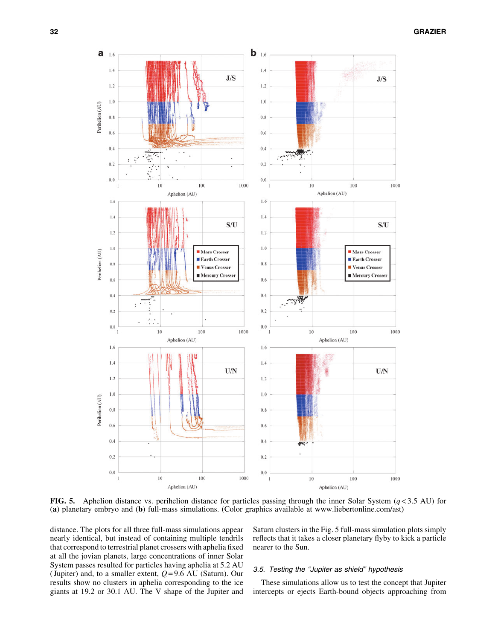

FIG. 5. Aphelion distance vs. perihelion distance for particles passing through the inner Solar System  $(q<3.5 \text{ AU})$  for (a) planetary embryo and (b) full-mass simulations. (Color graphics available at www.liebertonline.com/ast)

distance. The plots for all three full-mass simulations appear nearly identical, but instead of containing multiple tendrils that correspond to terrestrial planet crossers with aphelia fixed at all the jovian planets, large concentrations of inner Solar System passes resulted for particles having aphelia at 5.2 AU ( Jupiter) and, to a smaller extent, *Q* = 9.6 AU (Saturn). Our results show no clusters in aphelia corresponding to the ice giants at 19.2 or 30.1 AU. The V shape of the Jupiter and Saturn clusters in the Fig. 5 full-mass simulation plots simply reflects that it takes a closer planetary flyby to kick a particle nearer to the Sun.

# 3.5. Testing the ''Jupiter as shield'' hypothesis

These simulations allow us to test the concept that Jupiter intercepts or ejects Earth-bound objects approaching from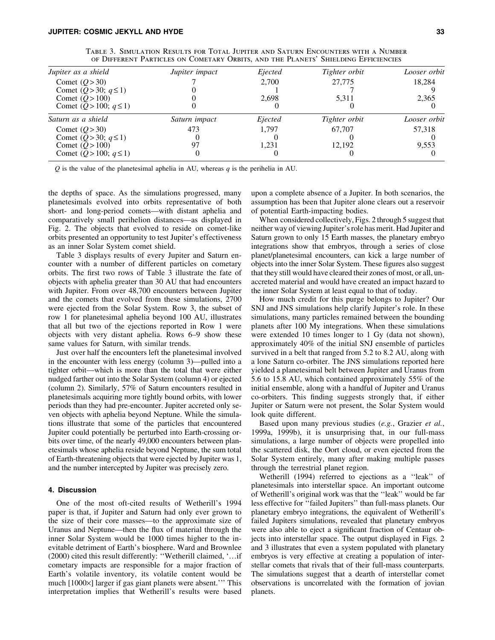## JUPITER: COSMIC JEKYLL AND HYDE 33

| Looser orbit<br>Tighter orbit<br>27,775<br>18.284 |
|---------------------------------------------------|
|                                                   |
|                                                   |
|                                                   |
| 5.311<br>2,365                                    |
|                                                   |
| Looser orbit<br>Tighter orbit                     |
| 57.318<br>67.707                                  |
|                                                   |
| 9,553<br>12.192                                   |
|                                                   |
|                                                   |

Table 3. Simulation Results for Total Jupiter and Saturn Encounters with a Number of Different Particles on Cometary Orbits, and the Planets' Shielding Efficiencies

*Q* is the value of the planetesimal aphelia in AU, whereas *q* is the perihelia in AU.

the depths of space. As the simulations progressed, many planetesimals evolved into orbits representative of both short- and long-period comets—with distant aphelia and comparatively small perihelion distances—as displayed in Fig. 2. The objects that evolved to reside on comet-like orbits presented an opportunity to test Jupiter's effectiveness as an inner Solar System comet shield.

Table 3 displays results of every Jupiter and Saturn encounter with a number of different particles on cometary orbits. The first two rows of Table 3 illustrate the fate of objects with aphelia greater than 30 AU that had encounters with Jupiter. From over 48,700 encounters between Jupiter and the comets that evolved from these simulations, 2700 were ejected from the Solar System. Row 3, the subset of row 1 for planetesimal aphelia beyond 100 AU, illustrates that all but two of the ejections reported in Row 1 were objects with very distant aphelia. Rows 6–9 show these same values for Saturn, with similar trends.

Just over half the encounters left the planetesimal involved in the encounter with less energy (column 3)—pulled into a tighter orbit—which is more than the total that were either nudged farther out into the Solar System (column 4) or ejected (column 2). Similarly, 57% of Saturn encounters resulted in planetesimals acquiring more tightly bound orbits, with lower periods than they had pre-encounter. Jupiter accreted only seven objects with aphelia beyond Neptune. While the simulations illustrate that some of the particles that encountered Jupiter could potentially be perturbed into Earth-crossing orbits over time, of the nearly 49,000 encounters between planetesimals whose aphelia reside beyond Neptune, the sum total of Earth-threatening objects that were ejected by Jupiter was 1, and the number intercepted by Jupiter was precisely zero.

## 4. Discussion

One of the most oft-cited results of Wetherill's 1994 paper is that, if Jupiter and Saturn had only ever grown to the size of their core masses—to the approximate size of Uranus and Neptune—then the flux of material through the inner Solar System would be 1000 times higher to the inevitable detriment of Earth's biosphere. Ward and Brownlee  $(2000)$  cited this result differently: "Wetherill claimed, '... if cometary impacts are responsible for a major fraction of Earth's volatile inventory, its volatile content would be much [1000×] larger if gas giant planets were absent."" This interpretation implies that Wetherill's results were based

upon a complete absence of a Jupiter. In both scenarios, the assumption has been that Jupiter alone clears out a reservoir of potential Earth-impacting bodies.

When considered collectively, Figs. 2 through 5 suggest that neither way of viewing Jupiter's role has merit. Had Jupiter and Saturn grown to only 15 Earth masses, the planetary embryo integrations show that embryos, through a series of close planet/planetesimal encounters, can kick a large number of objects into the inner Solar System. These figures also suggest that they still would have cleared their zones of most, or all, unaccreted material and would have created an impact hazard to the inner Solar System at least equal to that of today.

How much credit for this purge belongs to Jupiter? Our SNJ and JNS simulations help clarify Jupiter's role. In these simulations, many particles remained between the bounding planets after 100 My integrations. When these simulations were extended 10 times longer to 1 Gy (data not shown). approximately 40% of the initial SNJ ensemble of particles survived in a belt that ranged from 5.2 to 8.2 AU, along with a lone Saturn co-orbiter. The JNS simulations reported here yielded a planetesimal belt between Jupiter and Uranus from 5.6 to 15.8 AU, which contained approximately 55% of the initial ensemble, along with a handful of Jupiter and Uranus co-orbiters. This finding suggests strongly that, if either Jupiter or Saturn were not present, the Solar System would look quite different.

Based upon many previous studies (*e.g.*, Grazier *et al.*, 1999a, 1999b), it is unsurprising that, in our full-mass simulations, a large number of objects were propelled into the scattered disk, the Oort cloud, or even ejected from the Solar System entirely, many after making multiple passes through the terrestrial planet region.

Wetherill (1994) referred to ejections as a ''leak'' of planetesimals into interstellar space. An important outcome of Wetherill's original work was that the ''leak'' would be far less effective for ''failed Jupiters'' than full-mass planets. Our planetary embryo integrations, the equivalent of Wetherill's failed Jupiters simulations, revealed that planetary embryos were also able to eject a significant fraction of Centaur objects into interstellar space. The output displayed in Figs. 2 and 3 illustrates that even a system populated with planetary embryos is very effective at creating a population of interstellar comets that rivals that of their full-mass counterparts. The simulations suggest that a dearth of interstellar comet observations is uncorrelated with the formation of jovian planets.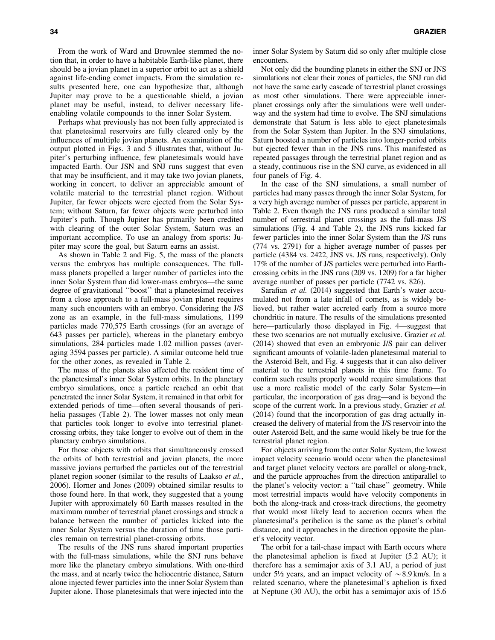From the work of Ward and Brownlee stemmed the notion that, in order to have a habitable Earth-like planet, there should be a jovian planet in a superior orbit to act as a shield against life-ending comet impacts. From the simulation results presented here, one can hypothesize that, although Jupiter may prove to be a questionable shield, a jovian planet may be useful, instead, to deliver necessary lifeenabling volatile compounds to the inner Solar System.

Perhaps what previously has not been fully appreciated is that planetesimal reservoirs are fully cleared only by the influences of multiple jovian planets. An examination of the output plotted in Figs. 3 and 5 illustrates that, without Jupiter's perturbing influence, few planetesimals would have impacted Earth. Our JSN and SNJ runs suggest that even that may be insufficient, and it may take two jovian planets, working in concert, to deliver an appreciable amount of volatile material to the terrestrial planet region. Without Jupiter, far fewer objects were ejected from the Solar System; without Saturn, far fewer objects were perturbed into Jupiter's path. Though Jupiter has primarily been credited with clearing of the outer Solar System, Saturn was an important accomplice. To use an analogy from sports: Jupiter may score the goal, but Saturn earns an assist.

As shown in Table 2 and Fig. 5, the mass of the planets versus the embryos has multiple consequences. The fullmass planets propelled a larger number of particles into the inner Solar System than did lower-mass embryos—the same degree of gravitational ''boost'' that a planetesimal receives from a close approach to a full-mass jovian planet requires many such encounters with an embryo. Considering the J/S zone as an example, in the full-mass simulations, 1199 particles made 770,575 Earth crossings (for an average of 643 passes per particle), whereas in the planetary embryo simulations, 284 particles made 1.02 million passes (averaging 3594 passes per particle). A similar outcome held true for the other zones, as revealed in Table 2.

The mass of the planets also affected the resident time of the planetesimal's inner Solar System orbits. In the planetary embryo simulations, once a particle reached an orbit that penetrated the inner Solar System, it remained in that orbit for extended periods of time—often several thousands of perihelia passages (Table 2). The lower masses not only mean that particles took longer to evolve into terrestrial planetcrossing orbits, they take longer to evolve out of them in the planetary embryo simulations.

For those objects with orbits that simultaneously crossed the orbits of both terrestrial and jovian planets, the more massive jovians perturbed the particles out of the terrestrial planet region sooner (similar to the results of Laakso *et al.*, 2006). Horner and Jones (2009) obtained similar results to those found here. In that work, they suggested that a young Jupiter with approximately 60 Earth masses resulted in the maximum number of terrestrial planet crossings and struck a balance between the number of particles kicked into the inner Solar System versus the duration of time those particles remain on terrestrial planet-crossing orbits.

The results of the JNS runs shared important properties with the full-mass simulations, while the SNJ runs behave more like the planetary embryo simulations. With one-third the mass, and at nearly twice the heliocentric distance, Saturn alone injected fewer particles into the inner Solar System than Jupiter alone. Those planetesimals that were injected into the inner Solar System by Saturn did so only after multiple close encounters.

Not only did the bounding planets in either the SNJ or JNS simulations not clear their zones of particles, the SNJ run did not have the same early cascade of terrestrial planet crossings as most other simulations. There were appreciable innerplanet crossings only after the simulations were well underway and the system had time to evolve. The SNJ simulations demonstrate that Saturn is less able to eject planetesimals from the Solar System than Jupiter. In the SNJ simulations, Saturn boosted a number of particles into longer-period orbits but ejected fewer than in the JNS runs. This manifested as repeated passages through the terrestrial planet region and as a steady, continuous rise in the SNJ curve, as evidenced in all four panels of Fig. 4.

In the case of the SNJ simulations, a small number of particles had many passes through the inner Solar System, for a very high average number of passes per particle, apparent in Table 2. Even though the JNS runs produced a similar total number of terrestrial planet crossings as the full-mass J/S simulations (Fig. 4 and Table 2), the JNS runs kicked far fewer particles into the inner Solar System than the J/S runs (774 vs. 2791) for a higher average number of passes per particle (4384 vs. 2422, JNS vs. J/S runs, respectively). Only 17% of the number of J/S particles were perturbed into Earthcrossing orbits in the JNS runs (209 vs. 1209) for a far higher average number of passes per particle (7742 vs. 826).

Sarafian *et al.* (2014) suggested that Earth's water accumulated not from a late infall of comets, as is widely believed, but rather water accreted early from a source more chondritic in nature. The results of the simulations presented here—particularly those displayed in Fig. 4—suggest that these two scenarios are not mutually exclusive. Grazier *et al.* (2014) showed that even an embryonic J/S pair can deliver significant amounts of volatile-laden planetesimal material to the Asteroid Belt, and Fig. 4 suggests that it can also deliver material to the terrestrial planets in this time frame. To confirm such results properly would require simulations that use a more realistic model of the early Solar System—in particular, the incorporation of gas drag—and is beyond the scope of the current work. In a previous study, Grazier *et al.* (2014) found that the incorporation of gas drag actually increased the delivery of material from the J/S reservoir into the outer Asteroid Belt, and the same would likely be true for the terrestrial planet region.

For objects arriving from the outer Solar System, the lowest impact velocity scenario would occur when the planetesimal and target planet velocity vectors are parallel or along-track, and the particle approaches from the direction antiparallel to the planet's velocity vector: a ''tail chase'' geometry. While most terrestrial impacts would have velocity components in both the along-track and cross-track directions, the geometry that would most likely lead to accretion occurs when the planetesimal's perihelion is the same as the planet's orbital distance, and it approaches in the direction opposite the planet's velocity vector.

The orbit for a tail-chase impact with Earth occurs where the planetesimal aphelion is fixed at Jupiter (5.2 AU); it therefore has a semimajor axis of 3.1 AU, a period of just under 5½ years, and an impact velocity of  $\sim$  8.9 km/s. In a related scenario, where the planetesimal's aphelion is fixed at Neptune (30 AU), the orbit has a semimajor axis of 15.6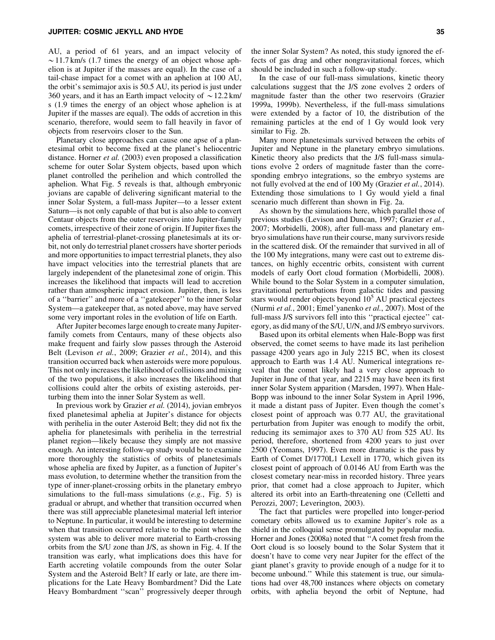### JUPITER: COSMIC JEKYLL AND HYDE 35

AU, a period of 61 years, and an impact velocity of  $\sim$  11.7 km/s (1.7 times the energy of an object whose aphelion is at Jupiter if the masses are equal). In the case of a tail-chase impact for a comet with an aphelion at 100 AU, the orbit's semimajor axis is 50.5 AU, its period is just under 360 years, and it has an Earth impact velocity of  $\sim$  12.2 km/ s (1.9 times the energy of an object whose aphelion is at Jupiter if the masses are equal). The odds of accretion in this scenario, therefore, would seem to fall heavily in favor of objects from reservoirs closer to the Sun.

Planetary close approaches can cause one apse of a planetesimal orbit to become fixed at the planet's heliocentric distance. Horner *et al.* (2003) even proposed a classification scheme for outer Solar System objects, based upon which planet controlled the perihelion and which controlled the aphelion. What Fig. 5 reveals is that, although embryonic jovians are capable of delivering significant material to the inner Solar System, a full-mass Jupiter—to a lesser extent Saturn—is not only capable of that but is also able to convert Centaur objects from the outer reservoirs into Jupiter-family comets, irrespective of their zone of origin. If Jupiter fixes the aphelia of terrestrial-planet-crossing planetesimals at its orbit, not only do terrestrial planet crossers have shorter periods and more opportunities to impact terrestrial planets, they also have impact velocities into the terrestrial planets that are largely independent of the planetesimal zone of origin. This increases the likelihood that impacts will lead to accretion rather than atmospheric impact erosion. Jupiter, then, is less of a ''barrier'' and more of a ''gatekeeper'' to the inner Solar System—a gatekeeper that, as noted above, may have served some very important roles in the evolution of life on Earth.

After Jupiter becomes large enough to create many Jupiterfamily comets from Centaurs, many of these objects also make frequent and fairly slow passes through the Asteroid Belt (Levison *et al.*, 2009; Grazier *et al.*, 2014), and this transition occurred back when asteroids were more populous. This not only increases the likelihood of collisions and mixing of the two populations, it also increases the likelihood that collisions could alter the orbits of existing asteroids, perturbing them into the inner Solar System as well.

In previous work by Grazier *et al.* (2014), jovian embryos fixed planetesimal aphelia at Jupiter's distance for objects with perihelia in the outer Asteroid Belt; they did not fix the aphelia for planetesimals with perihelia in the terrestrial planet region—likely because they simply are not massive enough. An interesting follow-up study would be to examine more thoroughly the statistics of orbits of planetesimals whose aphelia are fixed by Jupiter, as a function of Jupiter's mass evolution, to determine whether the transition from the type of inner-planet-crossing orbits in the planetary embryo simulations to the full-mass simulations (*e.g.*, Fig. 5) is gradual or abrupt, and whether that transition occurred when there was still appreciable planetesimal material left interior to Neptune. In particular, it would be interesting to determine when that transition occurred relative to the point when the system was able to deliver more material to Earth-crossing orbits from the S/U zone than J/S, as shown in Fig. 4. If the transition was early, what implications does this have for Earth accreting volatile compounds from the outer Solar System and the Asteroid Belt? If early or late, are there implications for the Late Heavy Bombardment? Did the Late Heavy Bombardment "scan" progressively deeper through

the inner Solar System? As noted, this study ignored the effects of gas drag and other nongravitational forces, which should be included in such a follow-up study.

In the case of our full-mass simulations, kinetic theory calculations suggest that the J/S zone evolves 2 orders of magnitude faster than the other two reservoirs (Grazier 1999a, 1999b). Nevertheless, if the full-mass simulations were extended by a factor of 10, the distribution of the remaining particles at the end of 1 Gy would look very similar to Fig. 2b.

Many more planetesimals survived between the orbits of Jupiter and Neptune in the planetary embryo simulations. Kinetic theory also predicts that the J/S full-mass simulations evolve 2 orders of magnitude faster than the corresponding embryo integrations, so the embryo systems are not fully evolved at the end of 100 My (Grazier *et al.*, 2014). Extending those simulations to 1 Gy would yield a final scenario much different than shown in Fig. 2a.

As shown by the simulations here, which parallel those of previous studies (Levison and Duncan, 1997; Grazier *et al.*, 2007; Morbidelli, 2008), after full-mass and planetary embryo simulations have run their course, many survivors reside in the scattered disk. Of the remainder that survived in all of the 100 My integrations, many were cast out to extreme distances, on highly eccentric orbits, consistent with current models of early Oort cloud formation (Morbidelli, 2008). While bound to the Solar System in a computer simulation, gravitational perturbations from galactic tides and passing stars would render objects beyond  $10<sup>5</sup>$  AU practical ejectees (Nurmi *et al.*, 2001; Emel'yanenko *et al.*, 2007). Most of the full-mass J/S survivors fell into this ''practical ejectee'' category, as did many of the S/U, U/N, and J/S embryo survivors.

Based upon its orbital elements when Hale-Bopp was first observed, the comet seems to have made its last perihelion passage 4200 years ago in July 2215 BC, when its closest approach to Earth was 1.4 AU. Numerical integrations reveal that the comet likely had a very close approach to Jupiter in June of that year, and 2215 may have been its first inner Solar System apparition (Marsden, 1997). When Hale-Bopp was inbound to the inner Solar System in April 1996, it made a distant pass of Jupiter. Even though the comet's closest point of approach was 0.77 AU, the gravitational perturbation from Jupiter was enough to modify the orbit, reducing its semimajor axes to 370 AU from 525 AU. Its period, therefore, shortened from 4200 years to just over 2500 (Yeomans, 1997). Even more dramatic is the pass by Earth of Comet D/1770L1 Lexell in 1770, which given its closest point of approach of 0.0146 AU from Earth was the closest cometary near-miss in recorded history. Three years prior, that comet had a close approach to Jupiter, which altered its orbit into an Earth-threatening one (Celletti and Perozzi, 2007; Leverington, 2003).

The fact that particles were propelled into longer-period cometary orbits allowed us to examine Jupiter's role as a shield in the colloquial sense promulgated by popular media. Horner and Jones (2008a) noted that ''A comet fresh from the Oort cloud is so loosely bound to the Solar System that it doesn't have to come very near Jupiter for the effect of the giant planet's gravity to provide enough of a nudge for it to become unbound.'' While this statement is true, our simulations had over 48,700 instances where objects on cometary orbits, with aphelia beyond the orbit of Neptune, had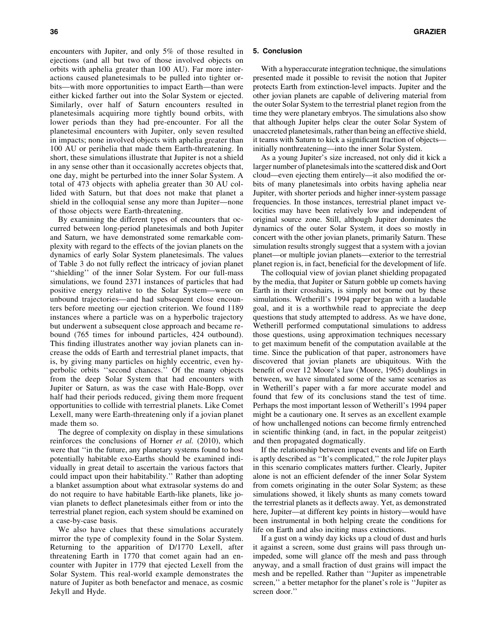encounters with Jupiter, and only 5% of those resulted in ejections (and all but two of those involved objects on orbits with aphelia greater than 100 AU). Far more interactions caused planetesimals to be pulled into tighter orbits—with more opportunities to impact Earth—than were either kicked farther out into the Solar System or ejected. Similarly, over half of Saturn encounters resulted in planetesimals acquiring more tightly bound orbits, with lower periods than they had pre-encounter. For all the planetesimal encounters with Jupiter, only seven resulted in impacts; none involved objects with aphelia greater than 100 AU or perihelia that made them Earth-threatening. In short, these simulations illustrate that Jupiter is not a shield in any sense other than it occasionally accretes objects that, one day, might be perturbed into the inner Solar System. A total of 473 objects with aphelia greater than 30 AU collided with Saturn, but that does not make that planet a shield in the colloquial sense any more than Jupiter—none of those objects were Earth-threatening.

By examining the different types of encounters that occurred between long-period planetesimals and both Jupiter and Saturn, we have demonstrated some remarkable complexity with regard to the effects of the jovian planets on the dynamics of early Solar System planetesimals. The values of Table 3 do not fully reflect the intricacy of jovian planet ''shielding'' of the inner Solar System. For our full-mass simulations, we found 2371 instances of particles that had positive energy relative to the Solar System—were on unbound trajectories—and had subsequent close encounters before meeting our ejection criterion. We found 1189 instances where a particle was on a hyperbolic trajectory but underwent a subsequent close approach and became rebound (765 times for inbound particles, 424 outbound). This finding illustrates another way jovian planets can increase the odds of Earth and terrestrial planet impacts, that is, by giving many particles on highly eccentric, even hyperbolic orbits ''second chances.'' Of the many objects from the deep Solar System that had encounters with Jupiter or Saturn, as was the case with Hale-Bopp, over half had their periods reduced, giving them more frequent opportunities to collide with terrestrial planets. Like Comet Lexell, many were Earth-threatening only if a jovian planet made them so.

The degree of complexity on display in these simulations reinforces the conclusions of Horner *et al.* (2010), which were that ''in the future, any planetary systems found to host potentially habitable exo-Earths should be examined individually in great detail to ascertain the various factors that could impact upon their habitability.'' Rather than adopting a blanket assumption about what extrasolar systems do and do not require to have habitable Earth-like planets, like jovian planets to deflect planetesimals either from or into the terrestrial planet region, each system should be examined on a case-by-case basis.

We also have clues that these simulations accurately mirror the type of complexity found in the Solar System. Returning to the apparition of D/1770 Lexell, after threatening Earth in 1770 that comet again had an encounter with Jupiter in 1779 that ejected Lexell from the Solar System. This real-world example demonstrates the nature of Jupiter as both benefactor and menace, as cosmic Jekyll and Hyde.

# 5. Conclusion

With a hyperaccurate integration technique, the simulations presented made it possible to revisit the notion that Jupiter protects Earth from extinction-level impacts. Jupiter and the other jovian planets are capable of delivering material from the outer Solar System to the terrestrial planet region from the time they were planetary embryos. The simulations also show that although Jupiter helps clear the outer Solar System of unaccreted planetesimals, rather than being an effective shield, it teams with Saturn to kick a significant fraction of objects initially nonthreatening—into the inner Solar System.

As a young Jupiter's size increased, not only did it kick a larger number of planetesimals into the scattered disk and Oort cloud—even ejecting them entirely—it also modified the orbits of many planetesimals into orbits having aphelia near Jupiter, with shorter periods and higher inner-system passage frequencies. In those instances, terrestrial planet impact velocities may have been relatively low and independent of original source zone. Still, although Jupiter dominates the dynamics of the outer Solar System, it does so mostly in concert with the other jovian planets, primarily Saturn. These simulation results strongly suggest that a system with a jovian planet—or multiple jovian planets—exterior to the terrestrial planet region is, in fact, beneficial for the development of life.

The colloquial view of jovian planet shielding propagated by the media, that Jupiter or Saturn gobble up comets having Earth in their crosshairs, is simply not borne out by these simulations. Wetherill's 1994 paper began with a laudable goal, and it is a worthwhile read to appreciate the deep questions that study attempted to address. As we have done, Wetherill performed computational simulations to address those questions, using approximation techniques necessary to get maximum benefit of the computation available at the time. Since the publication of that paper, astronomers have discovered that jovian planets are ubiquitous. With the benefit of over 12 Moore's law (Moore, 1965) doublings in between, we have simulated some of the same scenarios as in Wetherill's paper with a far more accurate model and found that few of its conclusions stand the test of time. Perhaps the most important lesson of Wetherill's 1994 paper might be a cautionary one. It serves as an excellent example of how unchallenged notions can become firmly entrenched in scientific thinking (and, in fact, in the popular zeitgeist) and then propagated dogmatically.

If the relationship between impact events and life on Earth is aptly described as ''It's complicated,'' the role Jupiter plays in this scenario complicates matters further. Clearly, Jupiter alone is not an efficient defender of the inner Solar System from comets originating in the outer Solar System; as these simulations showed, it likely shunts as many comets toward the terrestrial planets as it deflects away. Yet, as demonstrated here, Jupiter—at different key points in history—would have been instrumental in both helping create the conditions for life on Earth and also inciting mass extinctions.

If a gust on a windy day kicks up a cloud of dust and hurls it against a screen, some dust grains will pass through unimpeded, some will glance off the mesh and pass through anyway, and a small fraction of dust grains will impact the mesh and be repelled. Rather than ''Jupiter as impenetrable screen,'' a better metaphor for the planet's role is ''Jupiter as screen door.''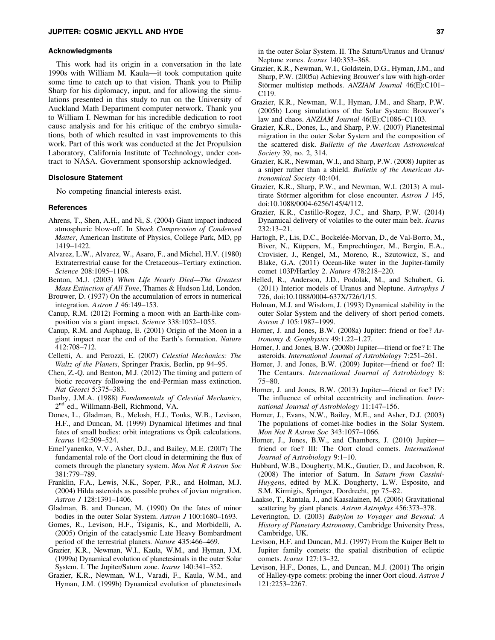#### Acknowledgments

This work had its origin in a conversation in the late 1990s with William M. Kaula—it took computation quite some time to catch up to that vision. Thank you to Philip Sharp for his diplomacy, input, and for allowing the simulations presented in this study to run on the University of Auckland Math Department computer network. Thank you to William I. Newman for his incredible dedication to root cause analysis and for his critique of the embryo simulations, both of which resulted in vast improvements to this work. Part of this work was conducted at the Jet Propulsion Laboratory, California Institute of Technology, under contract to NASA. Government sponsorship acknowledged.

# Disclosure Statement

No competing financial interests exist.

#### References

- Ahrens, T., Shen, A.H., and Ni, S. (2004) Giant impact induced atmospheric blow-off. In *Shock Compression of Condensed Matter*, American Institute of Physics, College Park, MD, pp 1419–1422.
- Alvarez, L.W., Alvarez, W., Asaro, F., and Michel, H.V. (1980) Extraterrestrial cause for the Cretaceous–Tertiary extinction. *Science* 208:1095–1108.
- Benton, M.J. (2003) *When Life Nearly Died—The Greatest Mass Extinction of All Time*, Thames & Hudson Ltd, London.
- Brouwer, D. (1937) On the accumulation of errors in numerical integration. *Astron J* 46:149–153.
- Canup, R.M. (2012) Forming a moon with an Earth-like composition via a giant impact. *Science* 338:1052–1055.
- Canup, R.M. and Asphaug, E. (2001) Origin of the Moon in a giant impact near the end of the Earth's formation. *Nature* 412:708–712.
- Celletti, A. and Perozzi, E. (2007) *Celestial Mechanics: The Waltz of the Planets*, Springer Praxis, Berlin, pp 94–95.
- Chen, Z.-Q. and Benton, M.J. (2012) The timing and pattern of biotic recovery following the end-Permian mass extinction. *Nat Geosci* 5:375–383.
- Danby, J.M.A. (1988) *Fundamentals of Celestial Mechanics*, 2<sup>nd</sup> ed., Willmann-Bell, Richmond, VA.
- Dones, L., Gladman, B., Melosh, H.J., Tonks, W.B., Levison, H.F., and Duncan, M. (1999) Dynamical lifetimes and final fates of small bodies: orbit integrations vs Opik calculations. *Icarus* 142:509–524.
- Emel'yanenko, V.V., Asher, D.J., and Bailey, M.E. (2007) The fundamental role of the Oort cloud in determining the flux of comets through the planetary system. *Mon Not R Astron Soc* 381:779–789.
- Franklin, F.A., Lewis, N.K., Soper, P.R., and Holman, M.J. (2004) Hilda asteroids as possible probes of jovian migration. *Astron J* 128:1391–1406.
- Gladman, B. and Duncan, M. (1990) On the fates of minor bodies in the outer Solar System. *Astron J* 100:1680–1693.
- Gomes, R., Levison, H.F., Tsiganis, K., and Morbidelli, A. (2005) Origin of the cataclysmic Late Heavy Bombardment period of the terrestrial planets. *Nature* 435:466–469.
- Grazier, K.R., Newman, W.I., Kaula, W.M., and Hyman, J.M. (1999a) Dynamical evolution of planetesimals in the outer Solar System. I. The Jupiter/Saturn zone. *Icarus* 140:341–352.
- Grazier, K.R., Newman, W.I., Varadi, F., Kaula, W.M., and Hyman, J.M. (1999b) Dynamical evolution of planetesimals

in the outer Solar System. II. The Saturn/Uranus and Uranus/ Neptune zones. *Icarus* 140:353–368.

- Grazier, K.R., Newman, W.I., Goldstein, D.G., Hyman, J.M., and Sharp, P.W. (2005a) Achieving Brouwer's law with high-order Störmer multistep methods. *ANZIAM Journal* 46(E):C101– C119.
- Grazier, K.R., Newman, W.I., Hyman, J.M., and Sharp, P.W. (2005b) Long simulations of the Solar System: Brouwer's law and chaos. *ANZIAM Journal* 46(E):C1086–C1103.
- Grazier, K.R., Dones, L., and Sharp, P.W. (2007) Planetesimal migration in the outer Solar System and the composition of the scattered disk. *Bulletin of the American Astronomical Society* 39, no. 2, 314.
- Grazier, K.R., Newman, W.I., and Sharp, P.W. (2008) Jupiter as a sniper rather than a shield. *Bulletin of the American Astronomical Society* 40:404.
- Grazier, K.R., Sharp, P.W., and Newman, W.I. (2013) A multirate Störmer algorithm for close encounter. *Astron J* 145, doi:10.1088/0004-6256/145/4/112.
- Grazier, K.R., Castillo-Rogez, J.C., and Sharp, P.W. (2014) Dynamical delivery of volatiles to the outer main belt. *Icarus* 232:13–21.
- Hartogh, P., Lis, D.C., Bockelée-Morvan, D., de Val-Borro, M., Biver, N., Küppers, M., Emprechtinger, M., Bergin, E.A., Crovisier, J., Rengel, M., Moreno, R., Szutowicz, S., and Blake, G.A. (2011) Ocean-like water in the Jupiter-family comet 103P/Hartley 2. *Nature* 478:218–220.
- Helled, R., Anderson, J.D., Podolak, M., and Schubert, G. (2011) Interior models of Uranus and Neptune. *Astrophys J* 726, doi:10.1088/0004-637X/726/1/15.
- Holman, M.J. and Wisdom, J. (1993) Dynamical stability in the outer Solar System and the delivery of short period comets. *Astron J* 105:1987–1999.
- Horner, J. and Jones, B.W. (2008a) Jupiter: friend or foe? *Astronomy & Geophysics* 49:1.22–1.27.
- Horner, J. and Jones, B.W. (2008b) Jupiter—friend or foe? I: The asteroids. *International Journal of Astrobiology* 7:251–261.
- Horner, J. and Jones, B.W. (2009) Jupiter—friend or foe? II: The Centaurs. *International Journal of Astrobiolog*y 8: 75–80.
- Horner, J. and Jones, B.W. (2013) Jupiter—friend or foe? IV: The influence of orbital eccentricity and inclination. *International Journal of Astrobiology* 11:147–156.
- Horner, J., Evans, N.W., Bailey, M.E., and Asher, D.J. (2003) The populations of comet-like bodies in the Solar System. *Mon Not R Astron Soc* 343:1057–1066.
- Horner, J., Jones, B.W., and Chambers, J. (2010) Jupiter friend or foe? III: The Oort cloud comets. *International Journal of Astrobiology* 9:1–10.
- Hubbard, W.B., Dougherty, M.K., Gautier, D., and Jacobson, R. (2008) The interior of Saturn. In *Saturn from Cassini-Huygens*, edited by M.K. Dougherty, L.W. Esposito, and S.M. Kirmigis, Springer, Dordrecht, pp 75–82.
- Laakso, T., Rantala, J., and Kaasalainen, M. (2006) Gravitational scattering by giant planets. *Astron Astrophys* 456:373–378.
- Leverington, D. (2003) *Babylon to Voyager and Beyond: A History of Planetary Astronomy*, Cambridge University Press, Cambridge, UK.
- Levison, H.F. and Duncan, M.J. (1997) From the Kuiper Belt to Jupiter family comets: the spatial distribution of ecliptic comets. *Icarus* 127:13–32.
- Levison, H.F., Dones, L., and Duncan, M.J. (2001) The origin of Halley-type comets: probing the inner Oort cloud. *Astron J* 121:2253–2267.